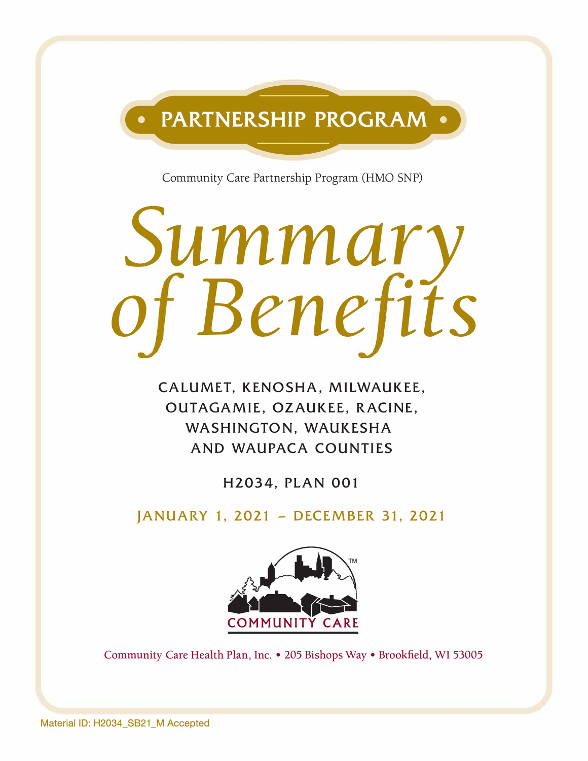

Community Care Partnership Program (HMO SNP)

# *ummar o Bene its*

**CALUMET, KENOSHA, MILWAUKEE, OUTAGAMIE, OZAUKEE, RACINE, WASHINGTON, WAUKESHA AND WAUPACA COUNTIES** 

**H2034, PLAN 001** 

**JANUARY 1, 2021 - DECEMBER 31, 2021** 



Community Care Health Plan, Inc. • 205 Bishops Way • Brookfield, WI 53005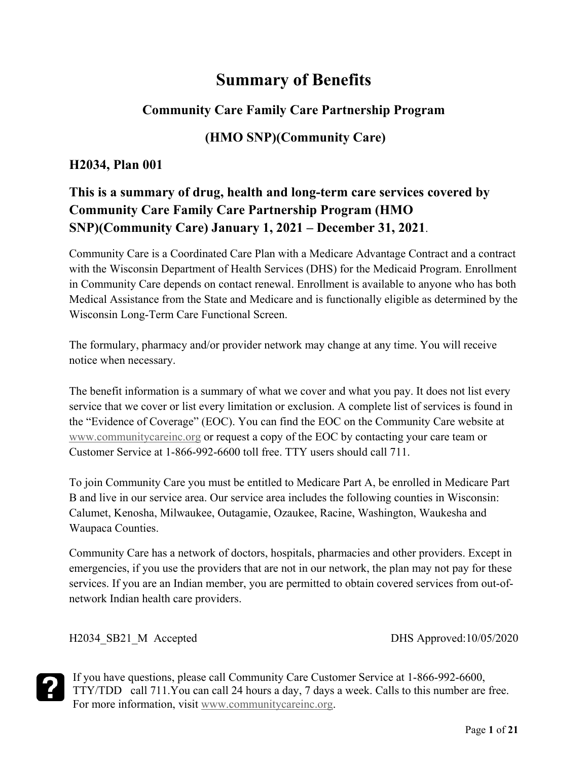## **Summary of Benefits**

## **Community Care Family Care Partnership Program**

## **(HMO SNP)(Community Care)**

#### **H2034, Plan 001**

## **This is a summary of drug, health and long-term care services covered by Community Care Family Care Partnership Program (HMO SNP)(Community Care) January 1, 2021 – December 31, 2021**.

Community Care is a Coordinated Care Plan with a Medicare Advantage Contract and a contract with the Wisconsin Department of Health Services (DHS) for the Medicaid Program. Enrollment in Community Care depends on contact renewal. Enrollment is available to anyone who has both Medical Assistance from the State and Medicare and is functionally eligible as determined by the Wisconsin Long-Term Care Functional Screen.

The formulary, pharmacy and/or provider network may change at any time. You will receive notice when necessary.

The benefit information is a summary of what we cover and what you pay. It does not list every service that we cover or list every limitation or exclusion. A complete list of services is found in the "Evidence of Coverage" (EOC). You can find the EOC on the Community Care website at [www.communitycareinc.org](http://www.communitycareinc.org/) or request a copy of the EOC by contacting your care team or Customer Service at 1-866-992-6600 toll free. TTY users should call 711.

To join Community Care you must be entitled to Medicare Part A, be enrolled in Medicare Part B and live in our service area. Our service area includes the following counties in Wisconsin: Calumet, Kenosha, Milwaukee, Outagamie, Ozaukee, Racine, Washington, Waukesha and Waupaca Counties.

Community Care has a network of doctors, hospitals, pharmacies and other providers. Except in emergencies, if you use the providers that are not in our network, the plan may not pay for these services. If you are an Indian member, you are permitted to obtain covered services from out-ofnetwork Indian health care providers.

H2034 SB21\_M Accepted DHS Approved:10/05/2020

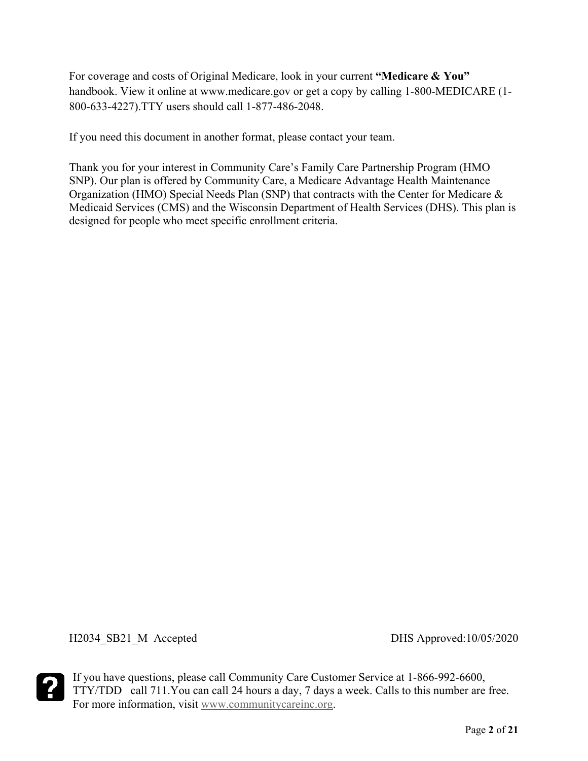For coverage and costs of Original Medicare, look in your current **"Medicare & You"**  handbook. View it online at www.medicare.gov or get a copy by calling 1-800-MEDICARE (1- 800-633-4227).TTY users should call 1-877-486-2048.

If you need this document in another format, please contact your team.

Thank you for your interest in Community Care's Family Care Partnership Program (HMO SNP). Our plan is offered by Community Care, a Medicare Advantage Health Maintenance Organization (HMO) Special Needs Plan (SNP) that contracts with the Center for Medicare & Medicaid Services (CMS) and the Wisconsin Department of Health Services (DHS). This plan is designed for people who meet specific enrollment criteria.

H2034\_SB21\_M Accepted DHS Approved:10/05/2020

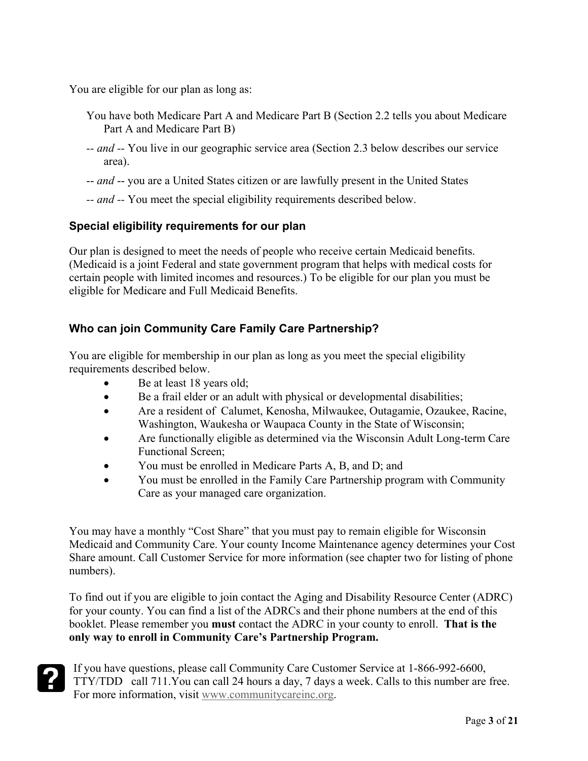You are eligible for our plan as long as:

- You have both Medicare Part A and Medicare Part B (Section 2.2 tells you about Medicare Part A and Medicare Part B)
- *-- and --* You live in our geographic service area (Section 2.3 below describes our service area).
- -- *and* -- you are a United States citizen or are lawfully present in the United States
- *-- and --* You meet the special eligibility requirements described below.

#### **Special eligibility requirements for our plan**

Our plan is designed to meet the needs of people who receive certain Medicaid benefits. (Medicaid is a joint Federal and state government program that helps with medical costs for certain people with limited incomes and resources.) To be eligible for our plan you must be eligible for Medicare and Full Medicaid Benefits.

#### **Who can join Community Care Family Care Partnership?**

You are eligible for membership in our plan as long as you meet the special eligibility requirements described below.

- Be at least 18 years old;
- Be a frail elder or an adult with physical or developmental disabilities;
- Are a resident of Calumet, Kenosha, Milwaukee, Outagamie, Ozaukee, Racine, Washington, Waukesha or Waupaca County in the State of Wisconsin;
- Are functionally eligible as determined via the Wisconsin Adult Long-term Care Functional Screen;
- You must be enrolled in Medicare Parts A, B, and D; and
- You must be enrolled in the Family Care Partnership program with Community Care as your managed care organization.

You may have a monthly "Cost Share" that you must pay to remain eligible for Wisconsin Medicaid and Community Care. Your county Income Maintenance agency determines your Cost Share amount. Call Customer Service for more information (see chapter two for listing of phone numbers).

To find out if you are eligible to join contact the Aging and Disability Resource Center (ADRC) for your county. You can find a list of the ADRCs and their phone numbers at the end of this booklet. Please remember you **must** contact the ADRC in your county to enroll. **That is the only way to enroll in Community Care's Partnership Program.**

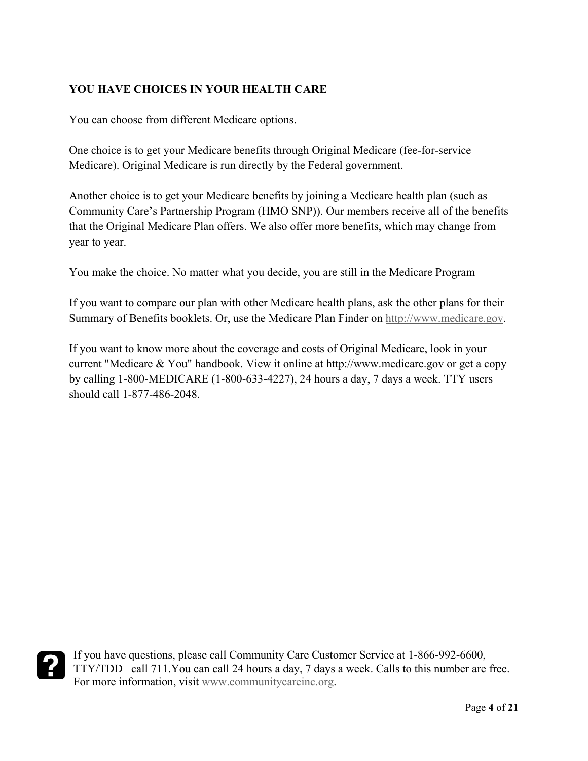#### **YOU HAVE CHOICES IN YOUR HEALTH CARE**

You can choose from different Medicare options.

One choice is to get your Medicare benefits through Original Medicare (fee-for-service Medicare). Original Medicare is run directly by the Federal government.

Another choice is to get your Medicare benefits by joining a Medicare health plan (such as Community Care's Partnership Program (HMO SNP)). Our members receive all of the benefits that the Original Medicare Plan offers. We also offer more benefits, which may change from year to year.

You make the choice. No matter what you decide, you are still in the Medicare Program

If you want to compare our plan with other Medicare health plans, ask the other plans for their Summary of Benefits booklets. Or, use the Medicare Plan Finder on [http://www.medicare.gov.](http://www.medicare.gov/)

If you want to know more about the coverage and costs of Original Medicare, look in your current "Medicare & You" handbook. View it online at http://www.medicare.gov or get a copy by calling 1-800-MEDICARE (1-800-633-4227), 24 hours a day, 7 days a week. TTY users should call 1-877-486-2048.

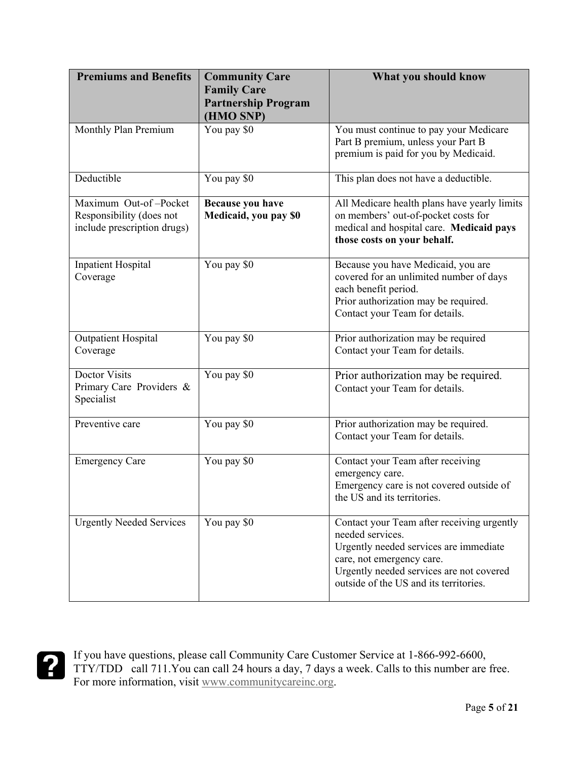| <b>Premiums and Benefits</b>                                                     | <b>Community Care</b><br><b>Family Care</b><br><b>Partnership Program</b><br>(HMO SNP) | What you should know                                                                                                                                                                                                        |
|----------------------------------------------------------------------------------|----------------------------------------------------------------------------------------|-----------------------------------------------------------------------------------------------------------------------------------------------------------------------------------------------------------------------------|
| Monthly Plan Premium                                                             | You pay \$0                                                                            | You must continue to pay your Medicare<br>Part B premium, unless your Part B<br>premium is paid for you by Medicaid.                                                                                                        |
| Deductible                                                                       | You pay \$0                                                                            | This plan does not have a deductible.                                                                                                                                                                                       |
| Maximum Out-of-Pocket<br>Responsibility (does not<br>include prescription drugs) | Because you have<br>Medicaid, you pay \$0                                              | All Medicare health plans have yearly limits<br>on members' out-of-pocket costs for<br>medical and hospital care. Medicaid pays<br>those costs on your behalf.                                                              |
| <b>Inpatient Hospital</b><br>Coverage                                            | You pay \$0                                                                            | Because you have Medicaid, you are<br>covered for an unlimited number of days<br>each benefit period.<br>Prior authorization may be required.<br>Contact your Team for details.                                             |
| <b>Outpatient Hospital</b><br>Coverage                                           | You pay \$0                                                                            | Prior authorization may be required<br>Contact your Team for details.                                                                                                                                                       |
| <b>Doctor Visits</b><br>Primary Care Providers &<br>Specialist                   | You pay \$0                                                                            | Prior authorization may be required.<br>Contact your Team for details.                                                                                                                                                      |
| Preventive care                                                                  | You pay \$0                                                                            | Prior authorization may be required.<br>Contact your Team for details.                                                                                                                                                      |
| <b>Emergency Care</b>                                                            | You pay \$0                                                                            | Contact your Team after receiving<br>emergency care.<br>Emergency care is not covered outside of<br>the US and its territories.                                                                                             |
| <b>Urgently Needed Services</b>                                                  | You pay \$0                                                                            | Contact your Team after receiving urgently<br>needed services.<br>Urgently needed services are immediate<br>care, not emergency care.<br>Urgently needed services are not covered<br>outside of the US and its territories. |

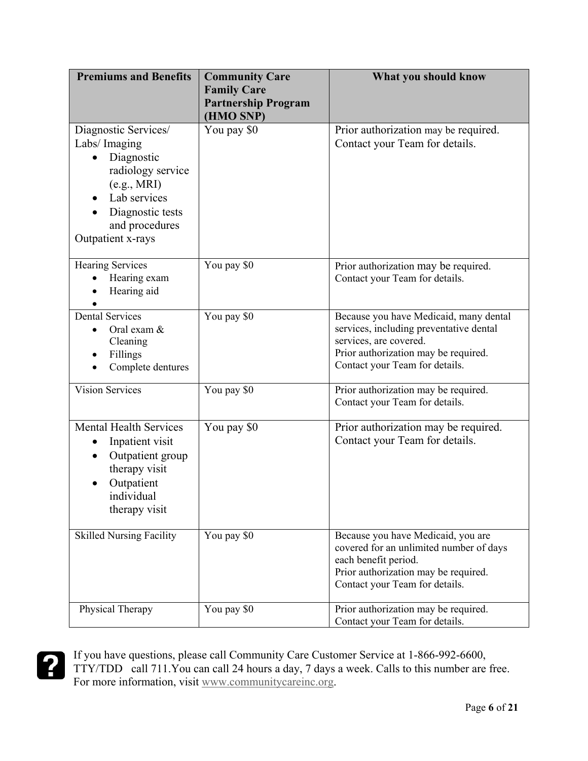| <b>Premiums and Benefits</b>                                                                                                                                                    | <b>Community Care</b><br><b>Family Care</b><br><b>Partnership Program</b><br>(HMO SNP) | What you should know                                                                                                                                                                  |
|---------------------------------------------------------------------------------------------------------------------------------------------------------------------------------|----------------------------------------------------------------------------------------|---------------------------------------------------------------------------------------------------------------------------------------------------------------------------------------|
| Diagnostic Services/<br>Labs/ Imaging<br>Diagnostic<br>$\bullet$<br>radiology service<br>(e.g., MRI)<br>Lab services<br>Diagnostic tests<br>and procedures<br>Outpatient x-rays | You pay \$0                                                                            | Prior authorization may be required.<br>Contact your Team for details.                                                                                                                |
| <b>Hearing Services</b><br>Hearing exam<br>Hearing aid                                                                                                                          | You pay \$0                                                                            | Prior authorization may be required.<br>Contact your Team for details.                                                                                                                |
| <b>Dental Services</b><br>Oral exam &<br>Cleaning<br>Fillings<br>٠<br>Complete dentures                                                                                         | You pay \$0                                                                            | Because you have Medicaid, many dental<br>services, including preventative dental<br>services, are covered.<br>Prior authorization may be required.<br>Contact your Team for details. |
| <b>Vision Services</b>                                                                                                                                                          | You pay \$0                                                                            | Prior authorization may be required.<br>Contact your Team for details.                                                                                                                |
| <b>Mental Health Services</b><br>Inpatient visit<br>Outpatient group<br>therapy visit<br>Outpatient<br>individual<br>therapy visit                                              | You pay \$0                                                                            | Prior authorization may be required.<br>Contact your Team for details.                                                                                                                |
| <b>Skilled Nursing Facility</b>                                                                                                                                                 | You pay \$0                                                                            | Because you have Medicaid, you are<br>covered for an unlimited number of days<br>each benefit period.<br>Prior authorization may be required.<br>Contact your Team for details.       |
| Physical Therapy                                                                                                                                                                | You pay \$0                                                                            | Prior authorization may be required.<br>Contact your Team for details.                                                                                                                |

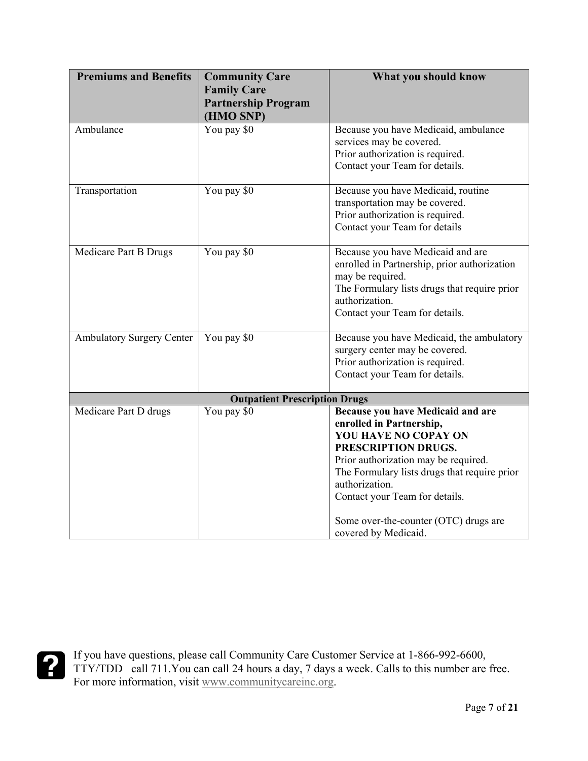| <b>Premiums and Benefits</b>     | <b>Community Care</b>                | What you should know                         |
|----------------------------------|--------------------------------------|----------------------------------------------|
|                                  | <b>Family Care</b>                   |                                              |
|                                  | <b>Partnership Program</b>           |                                              |
|                                  | (HMO SNP)                            |                                              |
| Ambulance                        | You pay \$0                          | Because you have Medicaid, ambulance         |
|                                  |                                      | services may be covered.                     |
|                                  |                                      | Prior authorization is required.             |
|                                  |                                      | Contact your Team for details.               |
| Transportation                   | You pay \$0                          | Because you have Medicaid, routine           |
|                                  |                                      | transportation may be covered.               |
|                                  |                                      | Prior authorization is required.             |
|                                  |                                      | Contact your Team for details                |
| Medicare Part B Drugs            | You pay \$0                          | Because you have Medicaid and are            |
|                                  |                                      | enrolled in Partnership, prior authorization |
|                                  |                                      | may be required.                             |
|                                  |                                      | The Formulary lists drugs that require prior |
|                                  |                                      | authorization.                               |
|                                  |                                      | Contact your Team for details.               |
| <b>Ambulatory Surgery Center</b> | You pay \$0                          | Because you have Medicaid, the ambulatory    |
|                                  |                                      | surgery center may be covered.               |
|                                  |                                      | Prior authorization is required.             |
|                                  |                                      | Contact your Team for details.               |
|                                  | <b>Outpatient Prescription Drugs</b> |                                              |
| Medicare Part D drugs            | You pay \$0                          | Because you have Medicaid and are            |
|                                  |                                      | enrolled in Partnership,                     |
|                                  |                                      | YOU HAVE NO COPAY ON                         |
|                                  |                                      | PRESCRIPTION DRUGS.                          |
|                                  |                                      | Prior authorization may be required.         |
|                                  |                                      | The Formulary lists drugs that require prior |
|                                  |                                      | authorization.                               |
|                                  |                                      | Contact your Team for details.               |
|                                  |                                      | Some over-the-counter (OTC) drugs are        |
|                                  |                                      | covered by Medicaid.                         |

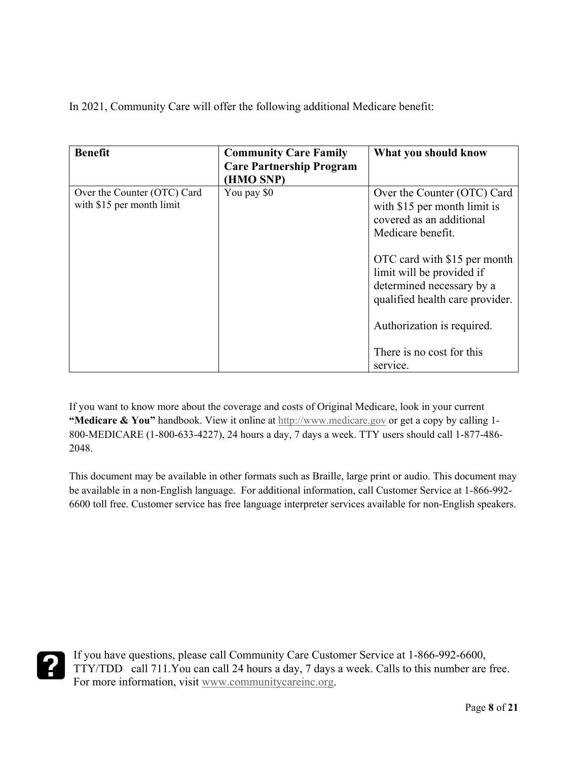In 2021, Community Care will offer the following additional Medicare benefit:

| <b>Benefit</b>                                           | <b>Community Care Family</b><br><b>Care Partnership Program</b><br>(HMO SNP) | What you should know                                                                                                      |
|----------------------------------------------------------|------------------------------------------------------------------------------|---------------------------------------------------------------------------------------------------------------------------|
| Over the Counter (OTC) Card<br>with \$15 per month limit | You pay \$0                                                                  | Over the Counter (OTC) Card<br>with \$15 per month limit is<br>covered as an additional<br>Medicare benefit.              |
|                                                          |                                                                              | OTC card with \$15 per month<br>limit will be provided if<br>determined necessary by a<br>qualified health care provider. |
|                                                          |                                                                              | Authorization is required.<br>There is no cost for this                                                                   |
|                                                          |                                                                              | service.                                                                                                                  |

If you want to know more about the coverage and costs of Original Medicare, look in your current **"Medicare & You"** handbook. View it online at [http://www.medicare.gov](http://www.medicare.gov/) or get a copy by calling 1- 800-MEDICARE (1-800-633-4227), 24 hours a day, 7 days a week. TTY users should call 1-877-486- 2048.

This document may be available in other formats such as Braille, large print or audio. This document may be available in a non-English language. For additional information, call Customer Service at 1-866-992- 6600 toll free. Customer service has free language interpreter services available for non-English speakers.

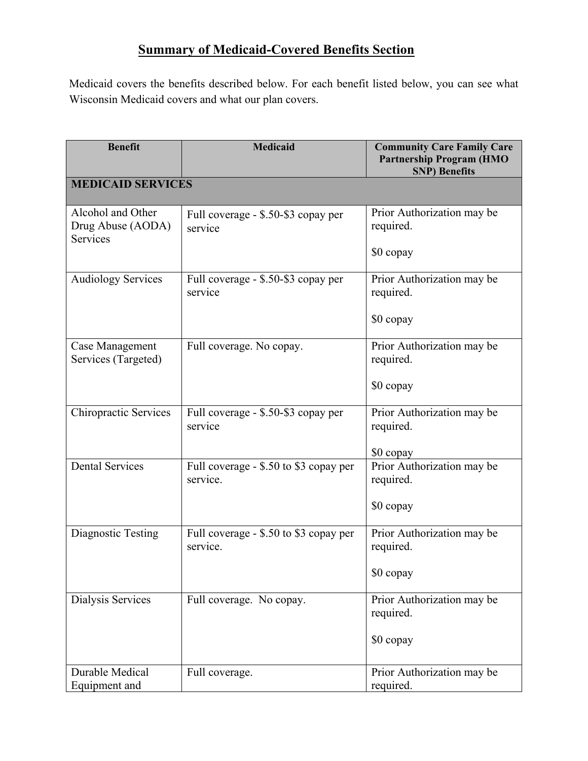## **Summary of Medicaid-Covered Benefits Section**

Medicaid covers the benefits described below. For each benefit listed below, you can see what Wisconsin Medicaid covers and what our plan covers.

| <b>Benefit</b>                                     | <b>Medicaid</b>                                    | <b>Community Care Family Care</b><br><b>Partnership Program (HMO</b><br><b>SNP)</b> Benefits |
|----------------------------------------------------|----------------------------------------------------|----------------------------------------------------------------------------------------------|
| <b>MEDICAID SERVICES</b>                           |                                                    |                                                                                              |
| Alcohol and Other<br>Drug Abuse (AODA)<br>Services | Full coverage - \$.50-\$3 copay per<br>service     | Prior Authorization may be<br>required.<br>\$0 copay                                         |
| <b>Audiology Services</b>                          | Full coverage - \$.50-\$3 copay per<br>service     | Prior Authorization may be<br>required.<br>\$0 copay                                         |
| Case Management<br>Services (Targeted)             | Full coverage. No copay.                           | Prior Authorization may be<br>required.<br>\$0 copay                                         |
| Chiropractic Services                              | Full coverage - \$.50-\$3 copay per<br>service     | Prior Authorization may be<br>required.<br>\$0 copay                                         |
| <b>Dental Services</b>                             | Full coverage - \$.50 to \$3 copay per<br>service. | Prior Authorization may be<br>required.<br>\$0 copay                                         |
| Diagnostic Testing                                 | Full coverage - \$.50 to \$3 copay per<br>service. | Prior Authorization may be<br>required.<br>\$0 copay                                         |
| Dialysis Services                                  | Full coverage. No copay.                           | Prior Authorization may be<br>required.<br>\$0 copay                                         |
| Durable Medical<br>Equipment and                   | Full coverage.                                     | Prior Authorization may be<br>required.                                                      |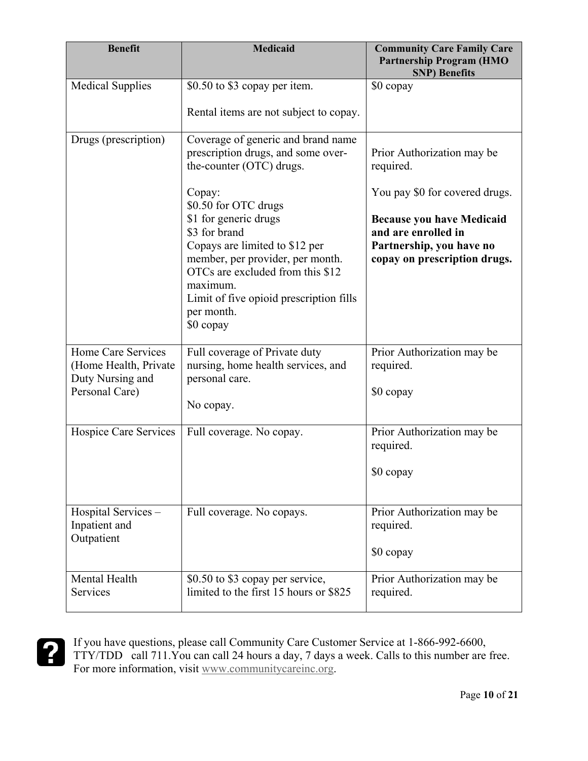| <b>Benefit</b>                                                                    | <b>Medicaid</b>                                                                                                                                                                                                                                                                                                                                                              | <b>Community Care Family Care</b><br><b>Partnership Program (HMO</b><br><b>SNP)</b> Benefits                                                                                                     |
|-----------------------------------------------------------------------------------|------------------------------------------------------------------------------------------------------------------------------------------------------------------------------------------------------------------------------------------------------------------------------------------------------------------------------------------------------------------------------|--------------------------------------------------------------------------------------------------------------------------------------------------------------------------------------------------|
| <b>Medical Supplies</b>                                                           | \$0.50 to \$3 copay per item.<br>Rental items are not subject to copay.                                                                                                                                                                                                                                                                                                      | \$0 copay                                                                                                                                                                                        |
| Drugs (prescription)                                                              | Coverage of generic and brand name<br>prescription drugs, and some over-<br>the-counter (OTC) drugs.<br>Copay:<br>\$0.50 for OTC drugs<br>\$1 for generic drugs<br>\$3 for brand<br>Copays are limited to \$12 per<br>member, per provider, per month.<br>OTCs are excluded from this \$12<br>maximum.<br>Limit of five opioid prescription fills<br>per month.<br>\$0 copay | Prior Authorization may be<br>required.<br>You pay \$0 for covered drugs.<br><b>Because you have Medicaid</b><br>and are enrolled in<br>Partnership, you have no<br>copay on prescription drugs. |
| Home Care Services<br>(Home Health, Private<br>Duty Nursing and<br>Personal Care) | Full coverage of Private duty<br>nursing, home health services, and<br>personal care.<br>No copay.                                                                                                                                                                                                                                                                           | Prior Authorization may be<br>required.<br>\$0 copay                                                                                                                                             |
| <b>Hospice Care Services</b>                                                      | Full coverage. No copay.                                                                                                                                                                                                                                                                                                                                                     | Prior Authorization may be<br>required.<br>\$0 copay                                                                                                                                             |
| Hospital Services -<br>Inpatient and<br>Outpatient                                | Full coverage. No copays.                                                                                                                                                                                                                                                                                                                                                    | Prior Authorization may be<br>required.<br>\$0 copay                                                                                                                                             |
| Mental Health<br>Services                                                         | \$0.50 to \$3 copay per service,<br>limited to the first 15 hours or \$825                                                                                                                                                                                                                                                                                                   | Prior Authorization may be<br>required.                                                                                                                                                          |

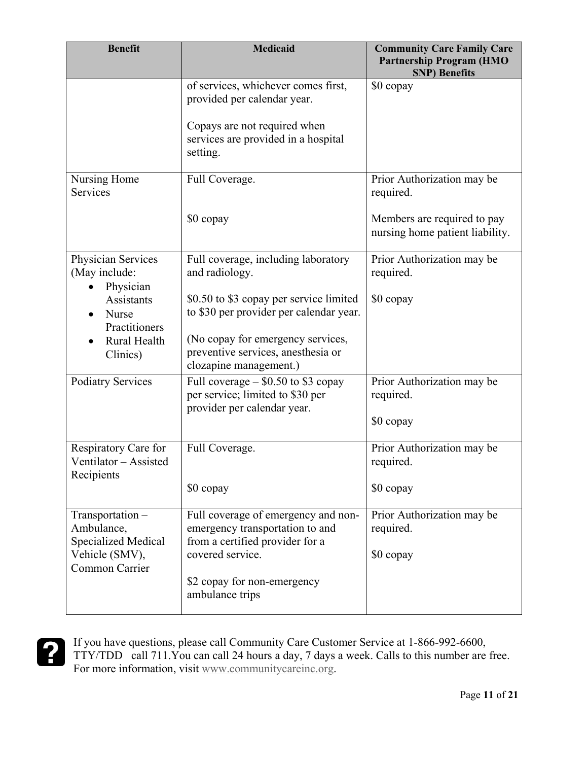| <b>Benefit</b>                                              | <b>Medicaid</b>                                                                                           | <b>Community Care Family Care</b><br><b>Partnership Program (HMO</b><br><b>SNP)</b> Benefits |
|-------------------------------------------------------------|-----------------------------------------------------------------------------------------------------------|----------------------------------------------------------------------------------------------|
|                                                             | of services, whichever comes first,<br>provided per calendar year.                                        | \$0 copay                                                                                    |
|                                                             | Copays are not required when<br>services are provided in a hospital<br>setting.                           |                                                                                              |
| Nursing Home<br><b>Services</b>                             | Full Coverage.                                                                                            | Prior Authorization may be<br>required.                                                      |
|                                                             | \$0 copay                                                                                                 | Members are required to pay<br>nursing home patient liability.                               |
| Physician Services<br>(May include:<br>Physician            | Full coverage, including laboratory<br>and radiology.                                                     | Prior Authorization may be<br>required.                                                      |
| Assistants<br>Nurse<br>Practitioners                        | \$0.50 to \$3 copay per service limited<br>to \$30 per provider per calendar year.                        | \$0 copay                                                                                    |
| Rural Health<br>Clinics)                                    | (No copay for emergency services,<br>preventive services, anesthesia or<br>clozapine management.)         |                                                                                              |
| <b>Podiatry Services</b>                                    | Full coverage $-$ \$0.50 to \$3 copay<br>per service; limited to \$30 per<br>provider per calendar year.  | Prior Authorization may be<br>required.                                                      |
|                                                             |                                                                                                           | \$0 copay                                                                                    |
| Respiratory Care for<br>Ventilator - Assisted<br>Recipients | Full Coverage.                                                                                            | Prior Authorization may be<br>required.                                                      |
|                                                             | \$0 copay                                                                                                 | \$0 copay                                                                                    |
| Transportation-<br>Ambulance,<br>Specialized Medical        | Full coverage of emergency and non-<br>emergency transportation to and<br>from a certified provider for a | Prior Authorization may be<br>required.                                                      |
| Vehicle (SMV),<br>Common Carrier                            | covered service.                                                                                          | \$0 copay                                                                                    |
|                                                             | \$2 copay for non-emergency<br>ambulance trips                                                            |                                                                                              |

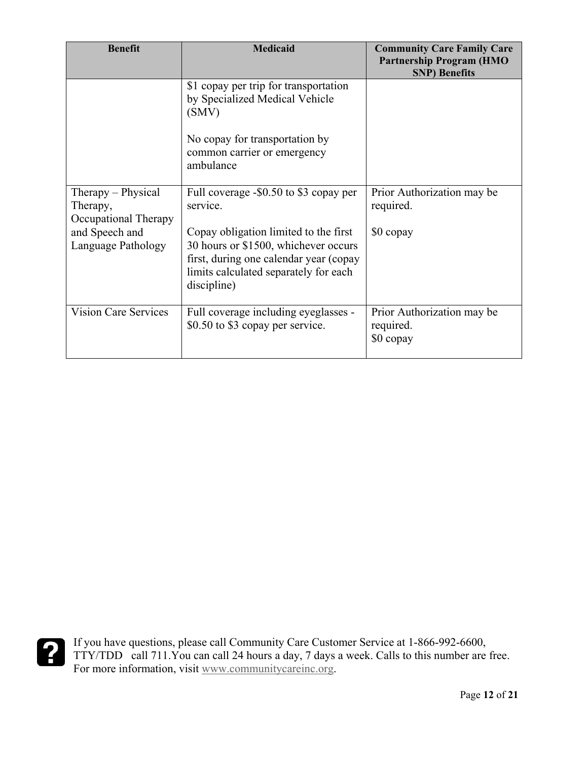| <b>Benefit</b>                                         | <b>Medicaid</b>                                                                                                                                                                 | <b>Community Care Family Care</b><br><b>Partnership Program (HMO</b><br><b>SNP)</b> Benefits |
|--------------------------------------------------------|---------------------------------------------------------------------------------------------------------------------------------------------------------------------------------|----------------------------------------------------------------------------------------------|
|                                                        | \$1 copay per trip for transportation<br>by Specialized Medical Vehicle<br>(SMV)                                                                                                |                                                                                              |
|                                                        | No copay for transportation by<br>common carrier or emergency<br>ambulance                                                                                                      |                                                                                              |
| Therapy – Physical<br>Therapy,<br>Occupational Therapy | Full coverage -\$0.50 to \$3 copay per<br>service.                                                                                                                              | Prior Authorization may be<br>required.                                                      |
| and Speech and<br>Language Pathology                   | Copay obligation limited to the first<br>30 hours or \$1500, whichever occurs<br>first, during one calendar year (copay<br>limits calculated separately for each<br>discipline) | \$0 copay                                                                                    |
| <b>Vision Care Services</b>                            | Full coverage including eyeglasses -<br>\$0.50 to \$3 copay per service.                                                                                                        | Prior Authorization may be<br>required.<br>\$0 copay                                         |

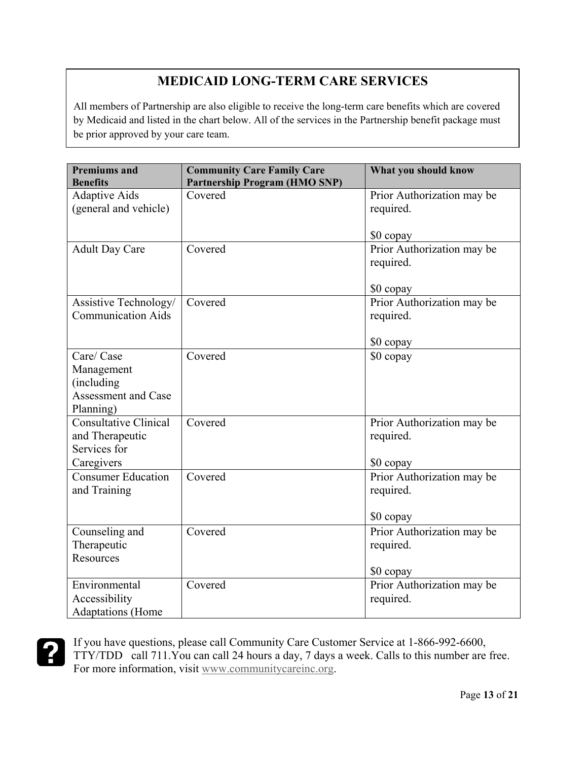## **MEDICAID LONG-TERM CARE SERVICES**

All members of Partnership are also eligible to receive the long-term care benefits which are covered by Medicaid and listed in the chart below. All of the services in the Partnership benefit package must be prior approved by your care team.

| <b>Premiums and</b><br><b>Benefits</b>                                            | <b>Community Care Family Care</b><br><b>Partnership Program (HMO SNP)</b> | What you should know                                 |
|-----------------------------------------------------------------------------------|---------------------------------------------------------------------------|------------------------------------------------------|
| <b>Adaptive Aids</b>                                                              | Covered                                                                   | Prior Authorization may be                           |
| (general and vehicle)                                                             |                                                                           | required.                                            |
|                                                                                   |                                                                           | \$0 copay                                            |
| <b>Adult Day Care</b>                                                             | Covered                                                                   | Prior Authorization may be<br>required.              |
|                                                                                   |                                                                           | \$0 copay                                            |
| Assistive Technology/<br><b>Communication Aids</b>                                | Covered                                                                   | Prior Authorization may be<br>required.              |
|                                                                                   |                                                                           | \$0 copay                                            |
| Care/ Case<br>Management<br>(including<br><b>Assessment and Case</b><br>Planning) | Covered                                                                   | \$0 copay                                            |
| Consultative Clinical<br>and Therapeutic<br>Services for<br>Caregivers            | Covered                                                                   | Prior Authorization may be<br>required.<br>\$0 copay |
| <b>Consumer Education</b><br>and Training                                         | Covered                                                                   | Prior Authorization may be<br>required.<br>\$0 copay |
| Counseling and<br>Therapeutic<br>Resources                                        | Covered                                                                   | Prior Authorization may be<br>required.<br>\$0 copay |
| Environmental<br>Accessibility<br><b>Adaptations</b> (Home                        | Covered                                                                   | Prior Authorization may be<br>required.              |

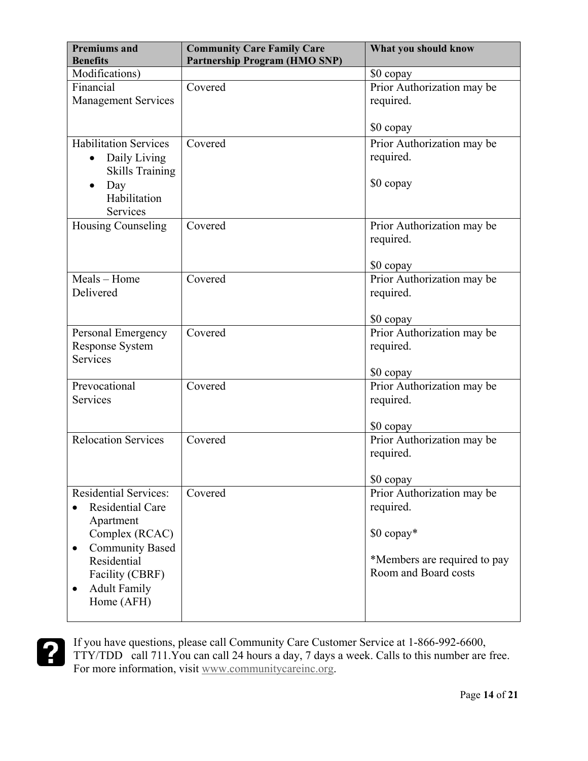| <b>Premiums and</b><br><b>Benefits</b>                                                                                                                                                                            | <b>Community Care Family Care</b><br><b>Partnership Program (HMO SNP)</b> | What you should know                                                                                          |
|-------------------------------------------------------------------------------------------------------------------------------------------------------------------------------------------------------------------|---------------------------------------------------------------------------|---------------------------------------------------------------------------------------------------------------|
| Modifications)                                                                                                                                                                                                    |                                                                           | \$0 copay                                                                                                     |
| Financial<br><b>Management Services</b>                                                                                                                                                                           | Covered                                                                   | Prior Authorization may be<br>required.                                                                       |
|                                                                                                                                                                                                                   |                                                                           | \$0 copay                                                                                                     |
| <b>Habilitation Services</b><br>Daily Living<br>$\bullet$<br><b>Skills Training</b><br>Day<br>$\bullet$<br>Habilitation<br>Services                                                                               | Covered                                                                   | Prior Authorization may be<br>required.<br>\$0 copay                                                          |
| Housing Counseling                                                                                                                                                                                                | Covered                                                                   | Prior Authorization may be<br>required.<br>\$0 copay                                                          |
| Meals - Home<br>Delivered                                                                                                                                                                                         | Covered                                                                   | Prior Authorization may be<br>required.<br>\$0 copay                                                          |
| Personal Emergency<br><b>Response System</b><br><b>Services</b>                                                                                                                                                   | Covered                                                                   | Prior Authorization may be<br>required.<br>\$0 copay                                                          |
| Prevocational<br><b>Services</b>                                                                                                                                                                                  | Covered                                                                   | Prior Authorization may be<br>required.<br>\$0 copay                                                          |
| <b>Relocation Services</b>                                                                                                                                                                                        | Covered                                                                   | Prior Authorization may be<br>required.<br>\$0 copay                                                          |
| <b>Residential Services:</b><br><b>Residential Care</b><br>Apartment<br>Complex (RCAC)<br><b>Community Based</b><br>$\bullet$<br>Residential<br>Facility (CBRF)<br><b>Adult Family</b><br>$\bullet$<br>Home (AFH) | Covered                                                                   | Prior Authorization may be<br>required.<br>\$0 copay*<br>*Members are required to pay<br>Room and Board costs |

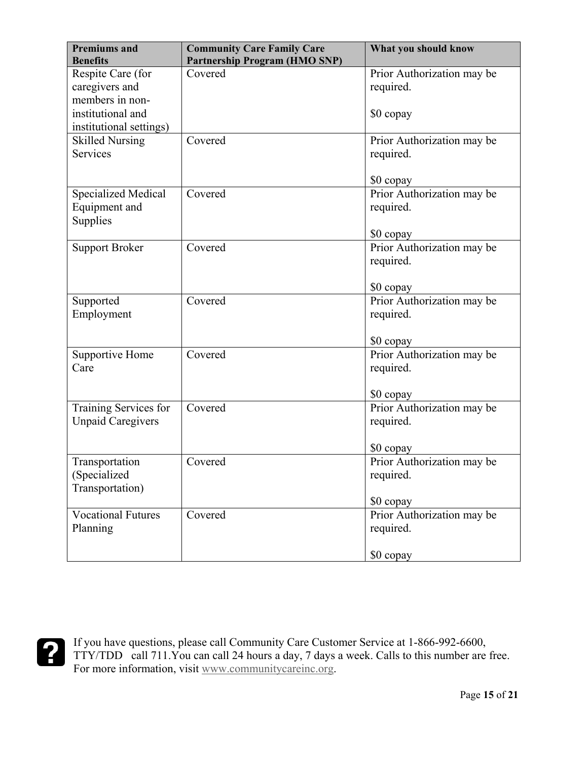| <b>Premiums</b> and<br><b>Benefits</b>                  | <b>Community Care Family Care</b><br><b>Partnership Program (HMO SNP)</b> | What you should know                                 |
|---------------------------------------------------------|---------------------------------------------------------------------------|------------------------------------------------------|
| Respite Care (for<br>caregivers and<br>members in non-  | Covered                                                                   | Prior Authorization may be<br>required.              |
| institutional and<br>institutional settings)            |                                                                           | \$0 copay                                            |
| <b>Skilled Nursing</b><br><b>Services</b>               | Covered                                                                   | Prior Authorization may be<br>required.<br>\$0 copay |
| <b>Specialized Medical</b><br>Equipment and<br>Supplies | Covered                                                                   | Prior Authorization may be<br>required.<br>\$0 copay |
| <b>Support Broker</b>                                   | Covered                                                                   | Prior Authorization may be<br>required.<br>\$0 copay |
| Supported<br>Employment                                 | Covered                                                                   | Prior Authorization may be<br>required.<br>\$0 copay |
| Supportive Home<br>Care                                 | Covered                                                                   | Prior Authorization may be<br>required.<br>\$0 copay |
| Training Services for<br><b>Unpaid Caregivers</b>       | Covered                                                                   | Prior Authorization may be<br>required.<br>\$0 copay |
| Transportation<br>(Specialized<br>Transportation)       | Covered                                                                   | Prior Authorization may be<br>required.<br>\$0 copay |
| <b>Vocational Futures</b><br>Planning                   | Covered                                                                   | Prior Authorization may be<br>required.<br>\$0 copay |

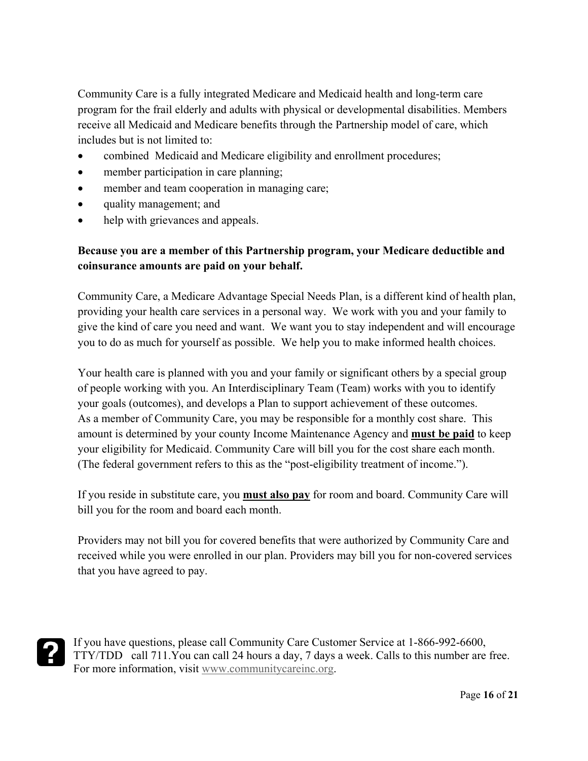Community Care is a fully integrated Medicare and Medicaid health and long-term care program for the frail elderly and adults with physical or developmental disabilities. Members receive all Medicaid and Medicare benefits through the Partnership model of care, which includes but is not limited to:

- combined Medicaid and Medicare eligibility and enrollment procedures;
- member participation in care planning;
- member and team cooperation in managing care;
- quality management; and
- help with grievances and appeals.

#### **Because you are a member of this Partnership program, your Medicare deductible and coinsurance amounts are paid on your behalf.**

Community Care, a Medicare Advantage Special Needs Plan, is a different kind of health plan, providing your health care services in a personal way. We work with you and your family to give the kind of care you need and want. We want you to stay independent and will encourage you to do as much for yourself as possible. We help you to make informed health choices.

Your health care is planned with you and your family or significant others by a special group of people working with you. An Interdisciplinary Team (Team) works with you to identify your goals (outcomes), and develops a Plan to support achievement of these outcomes. As a member of Community Care, you may be responsible for a monthly cost share. This amount is determined by your county Income Maintenance Agency and **must be paid** to keep your eligibility for Medicaid. Community Care will bill you for the cost share each month. (The federal government refers to this as the "post-eligibility treatment of income.").

If you reside in substitute care, you **must also pay** for room and board. Community Care will bill you for the room and board each month.

Providers may not bill you for covered benefits that were authorized by Community Care and received while you were enrolled in our plan. Providers may bill you for non-covered services that you have agreed to pay.

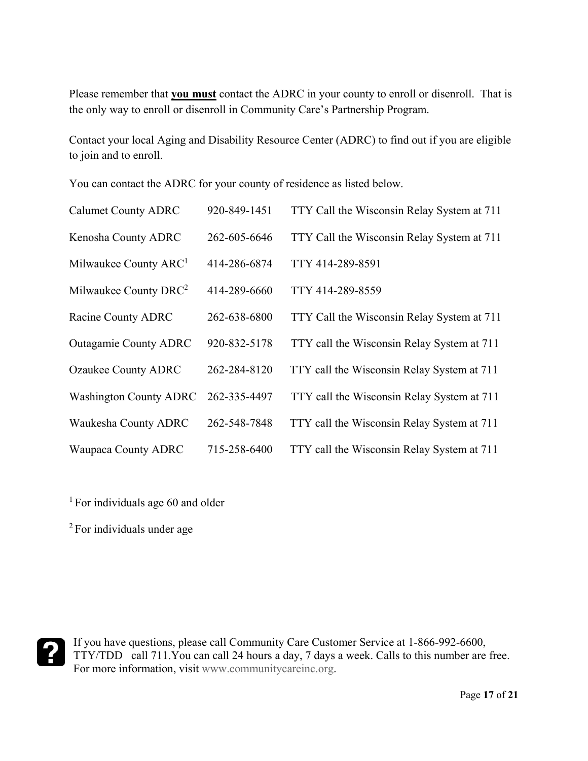Please remember that **you must** contact the ADRC in your county to enroll or disenroll. That is the only way to enroll or disenroll in Community Care's Partnership Program.

Contact your local Aging and Disability Resource Center (ADRC) to find out if you are eligible to join and to enroll.

You can contact the ADRC for your county of residence as listed below.

| <b>Calumet County ADRC</b>        | 920-849-1451 | TTY Call the Wisconsin Relay System at 711 |
|-----------------------------------|--------------|--------------------------------------------|
| Kenosha County ADRC               | 262-605-6646 | TTY Call the Wisconsin Relay System at 711 |
| Milwaukee County ARC <sup>1</sup> | 414-286-6874 | TTY 414-289-8591                           |
| Milwaukee County DRC <sup>2</sup> | 414-289-6660 | TTY 414-289-8559                           |
| Racine County ADRC                | 262-638-6800 | TTY Call the Wisconsin Relay System at 711 |
| <b>Outagamie County ADRC</b>      | 920-832-5178 | TTY call the Wisconsin Relay System at 711 |
| <b>Ozaukee County ADRC</b>        | 262-284-8120 | TTY call the Wisconsin Relay System at 711 |
| <b>Washington County ADRC</b>     | 262-335-4497 | TTY call the Wisconsin Relay System at 711 |
| Waukesha County ADRC              | 262-548-7848 | TTY call the Wisconsin Relay System at 711 |
| <b>Waupaca County ADRC</b>        | 715-258-6400 | TTY call the Wisconsin Relay System at 711 |

<sup>1</sup> For individuals age 60 and older

2 For individuals under age

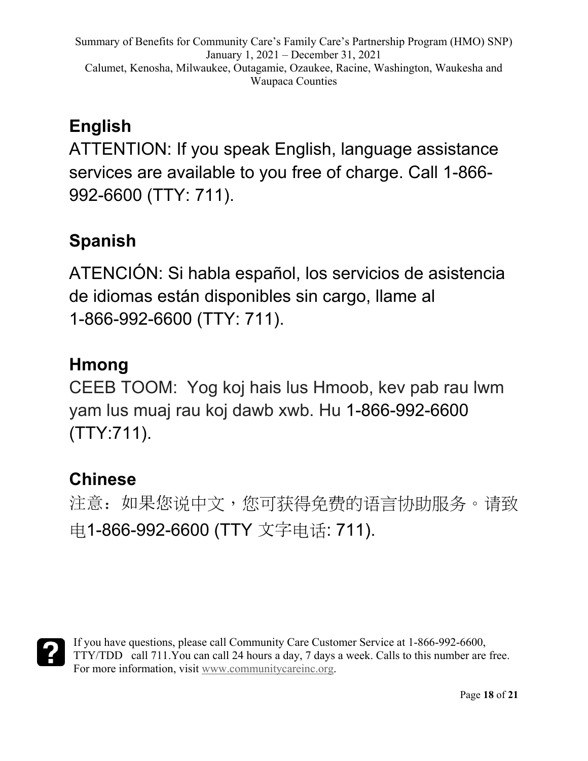# **English**

ATTENTION: If you speak English, language assistance services are available to you free of charge. Call 1-866- 992-6600 (TTY: 711).

# **Spanish**

ATENCIÓN: Si habla español, los servicios de asistencia de idiomas están disponibles sin cargo, llame al 1-866-992-6600 (TTY: 711).

# **Hmong**

CEEB TOOM: Yog koj hais lus Hmoob, kev pab rau lwm yam lus muaj rau koj dawb xwb. Hu 1-866-992-6600 (TTY:711).

# **Chinese**

注意:如果您说中文,您可获得免费的语言协助服务。请致 电1-866-992-6600 (TTY 文字电话: 711).

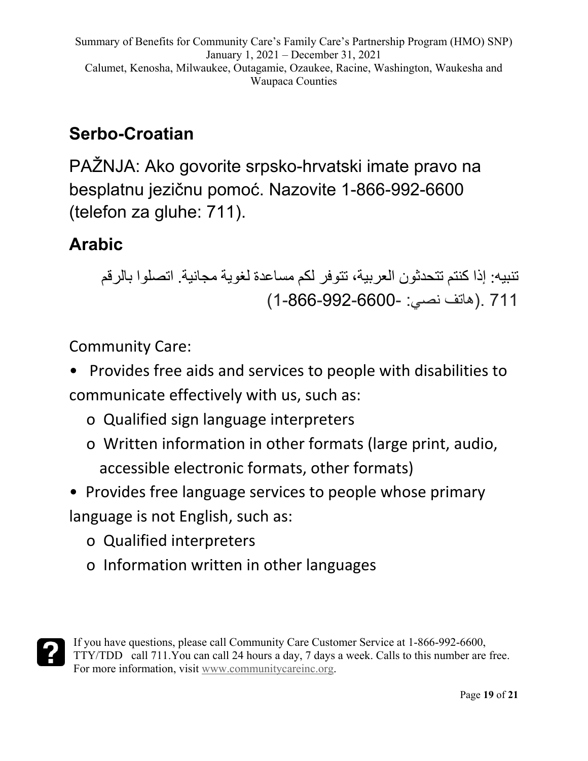# **Serbo-Croatian**

PAŽNJA: Ako govorite srpsko-hrvatski imate pravo na besplatnu jezičnu pomoć. Nazovite 1-866-992-6600 (telefon za gluhe: 711).

# **Arabic**

تنبیھ: إذا كنتم تتحدثون العربیة، تتوفر لكم مساعدة لغویة مجانیة. اتصلوا بالرقم 711 .(ھاتف نصي: 1-866-992-6600-)

Community Care:

- Provides free aids and services to people with disabilities to communicate effectively with us, such as:
	- o Qualified sign language interpreters
	- o Written information in other formats (large print, audio, accessible electronic formats, other formats)

• Provides free language services to people whose primary language is not English, such as:

- o Qualified interpreters
- o Information written in other languages

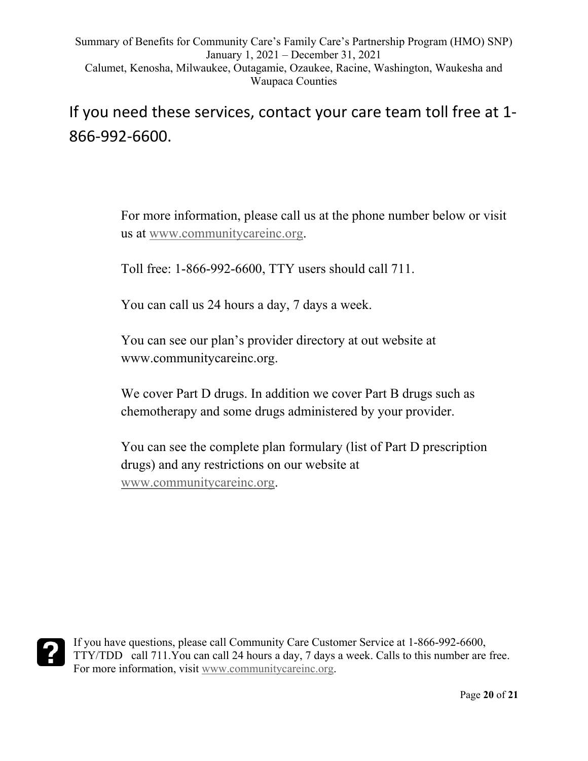If you need these services, contact your care team toll free at 1- 866-992-6600.

> For more information, please call us at the phone number below or visit us at [www.communitycareinc.org.](http://www.communitycareinc.org/)

Toll free: 1-866-992-6600, TTY users should call 711.

You can call us 24 hours a day, 7 days a week.

You can see our plan's provider directory at out website at www.communitycareinc.org.

We cover Part D drugs. In addition we cover Part B drugs such as chemotherapy and some drugs administered by your provider.

You can see the complete plan formulary (list of Part D prescription drugs) and any restrictions on our website at [www.communitycareinc.org.](http://www.communitycareinc.org/)

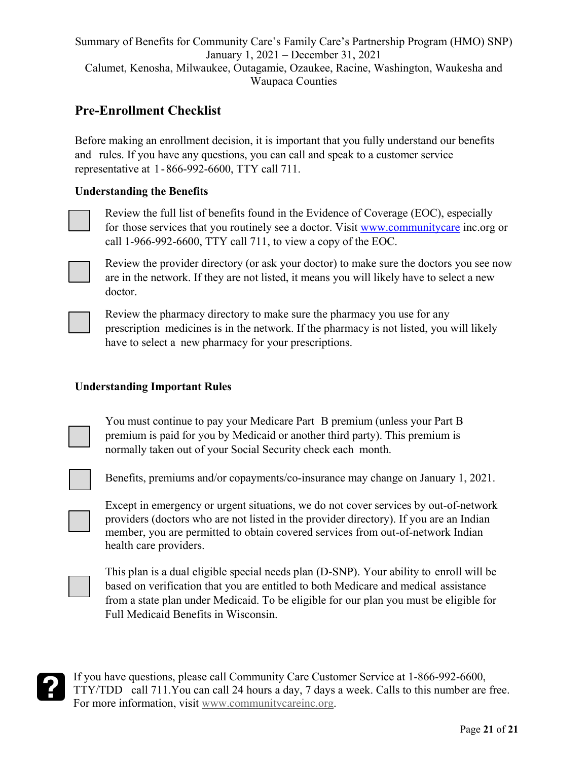### **Pre-Enrollment Checklist**

Before making an enrollment decision, it is important that you fully understand our benefits and rules. If you have any questions, you can call and speak to a customer service representative at 1-866-992-6600, TTY call 711.

#### **Understanding the Benefits**

Review the full list of benefits found in the Evidence of Coverage (EOC), especially for those services that you routinely see a doctor. Visit [www.communitycare](http://www.communitycare/) inc.org or call 1-966-992-6600, TTY call 711, to view a copy of the EOC.



Review the provider directory (or ask your doctor) to make sure the doctors you see now are in the network. If they are not listed, it means you will likely have to select a new doctor.

Review the pharmacy directory to make sure the pharmacy you use for any prescription medicines is in the network. If the pharmacy is not listed, you will likely have to select a new pharmacy for your prescriptions.

#### **Understanding Important Rules**

You must continue to pay your Medicare Part B premium (unless your Part B premium is paid for you by Medicaid or another third party). This premium is normally taken out of your Social Security check each month.

Benefits, premiums and/or copayments/co-insurance may change on January 1, 2021.

Except in emergency or urgent situations, we do not cover services by out-of-network providers (doctors who are not listed in the provider directory). If you are an Indian member, you are permitted to obtain covered services from out-of-network Indian health care providers.



This plan is a dual eligible special needs plan (D-SNP). Your ability to enroll will be based on verification that you are entitled to both Medicare and medical assistance from a state plan under Medicaid. To be eligible for our plan you must be eligible for Full Medicaid Benefits in Wisconsin.